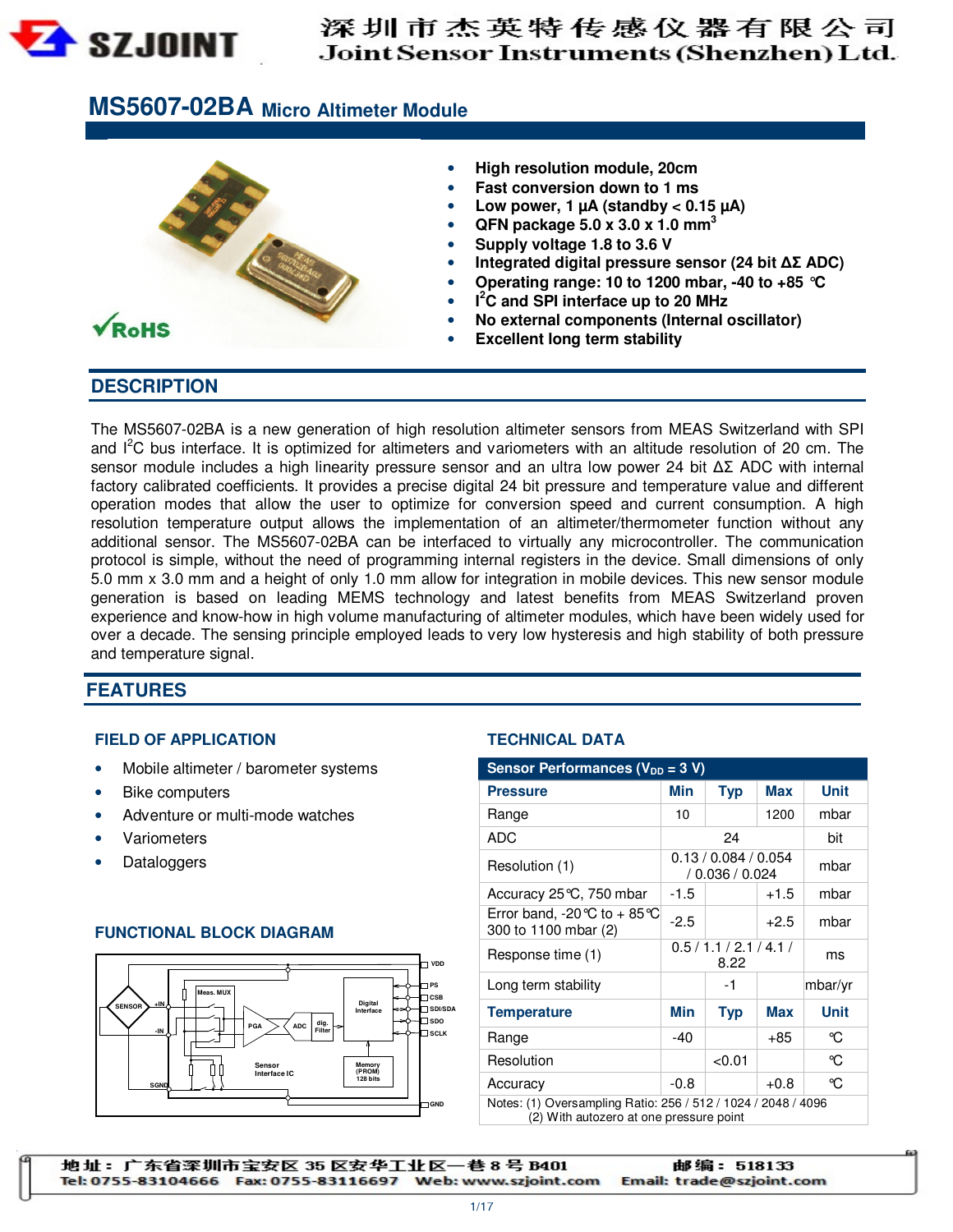

# 深圳市杰英特传感仪器有限公司 Joint Sensor Instruments (Shenzhen) Ltd.

# **MS5607-02BA Micro Altimeter Module**



### **DESCRIPTION**

The MS5607-02BA is a new generation of high resolution altimeter sensors from MEAS Switzerland with SPI and I<sup>2</sup>C bus interface. It is optimized for altimeters and variometers with an altitude resolution of 20 cm. The sensor module includes a high linearity pressure sensor and an ultra low power 24 bit ∆Σ ADC with internal factory calibrated coefficients. It provides a precise digital 24 bit pressure and temperature value and different operation modes that allow the user to optimize for conversion speed and current consumption. A high resolution temperature output allows the implementation of an altimeter/thermometer function without any additional sensor. The MS5607-02BA can be interfaced to virtually any microcontroller. The communication protocol is simple, without the need of programming internal registers in the device. Small dimensions of only 5.0 mm x 3.0 mm and a height of only 1.0 mm allow for integration in mobile devices. This new sensor module generation is based on leading MEMS technology and latest benefits from MEAS Switzerland proven experience and know-how in high volume manufacturing of altimeter modules, which have been widely used for over a decade. The sensing principle employed leads to very low hysteresis and high stability of both pressure and temperature signal.

### **FEATURES**

#### **FIELD OF APPLICATION TECHNICAL DATA**

- Mobile altimeter / barometer systems
- Bike computers
- Adventure or multi-mode watches
- 
- 

### **FUNCTIONAL BLOCK DIAGRAM**



| Mobile altimeter / barometer systems<br>$\bullet$                                                                                                                      | Sensor Performances (V <sub>DD</sub> = 3 V)                                                              |                                         |                          |            |             |
|------------------------------------------------------------------------------------------------------------------------------------------------------------------------|----------------------------------------------------------------------------------------------------------|-----------------------------------------|--------------------------|------------|-------------|
| <b>Bike computers</b><br>٠                                                                                                                                             | <b>Pressure</b>                                                                                          | Min                                     | <b>Typ</b>               | <b>Max</b> | <b>Unit</b> |
| Adventure or multi-mode watches<br>$\bullet$                                                                                                                           | Range                                                                                                    | 10                                      |                          | 1200       | mbar        |
| Variometers<br>$\bullet$                                                                                                                                               | <b>ADC</b>                                                                                               |                                         | 24                       |            | bit         |
| Dataloggers<br>$\bullet$                                                                                                                                               | Resolution (1)                                                                                           | 0.13 / 0.084 / 0.054<br>/ 0.036 / 0.024 |                          | mbar       |             |
|                                                                                                                                                                        | Accuracy 25 °C, 750 mbar                                                                                 | $-1.5$                                  |                          | $+1.5$     | mbar        |
| <b>FUNCTIONAL BLOCK DIAGRAM</b>                                                                                                                                        | Error band, -20 °C to + 85 °C<br>300 to 1100 mbar (2)                                                    | $-2.5$                                  |                          | $+2.5$     | mbar        |
| $\neg$ vpp                                                                                                                                                             | Response time (1)                                                                                        |                                         | 0.5/1.1/2.1/4.1/<br>8.22 |            | ms          |
| $\square$ PS<br>Meas, MUX<br>$\neg$ <sub>CSB</sub>                                                                                                                     | Long term stability                                                                                      |                                         | $-1$                     |            | mbar/yr     |
| Digital<br>$+IN$<br><b>SENSOR</b><br>$\Box$ SDI/SDA<br>Interface<br>$\square$ spo<br>$\left \frac{d\text{lg.}}{\text{Filter}}\right  \Rightarrow$<br>PGA<br><b>ADC</b> | <b>Temperature</b>                                                                                       | Min                                     | <b>Typ</b>               | <b>Max</b> | <b>Unit</b> |
| $-1N$<br>-⊡ sclk                                                                                                                                                       | Range                                                                                                    | $-40$                                   |                          | $+85$      | °C          |
| Memory<br>Sensor                                                                                                                                                       | Resolution                                                                                               |                                         | < 0.01                   |            | °C          |
| (PROM)<br>Interface IC<br>128 bits<br>SGND                                                                                                                             | Accuracy                                                                                                 | $-0.8$                                  |                          | $+0.8$     | $\infty$    |
| GND                                                                                                                                                                    | Notes: (1) Oversampling Ratio: 256 / 512 / 1024 / 2048 / 4096<br>(2) With autozero at one pressure point |                                         |                          |            |             |

地址: 广东省深圳市宝安区 35 区安华工业区一巷 8 号 B401 邮编: 518133 Tel: 0755-83104666 Fax: 0755-83116697 Web: www.szjoint.com Email: trade@szjoint.com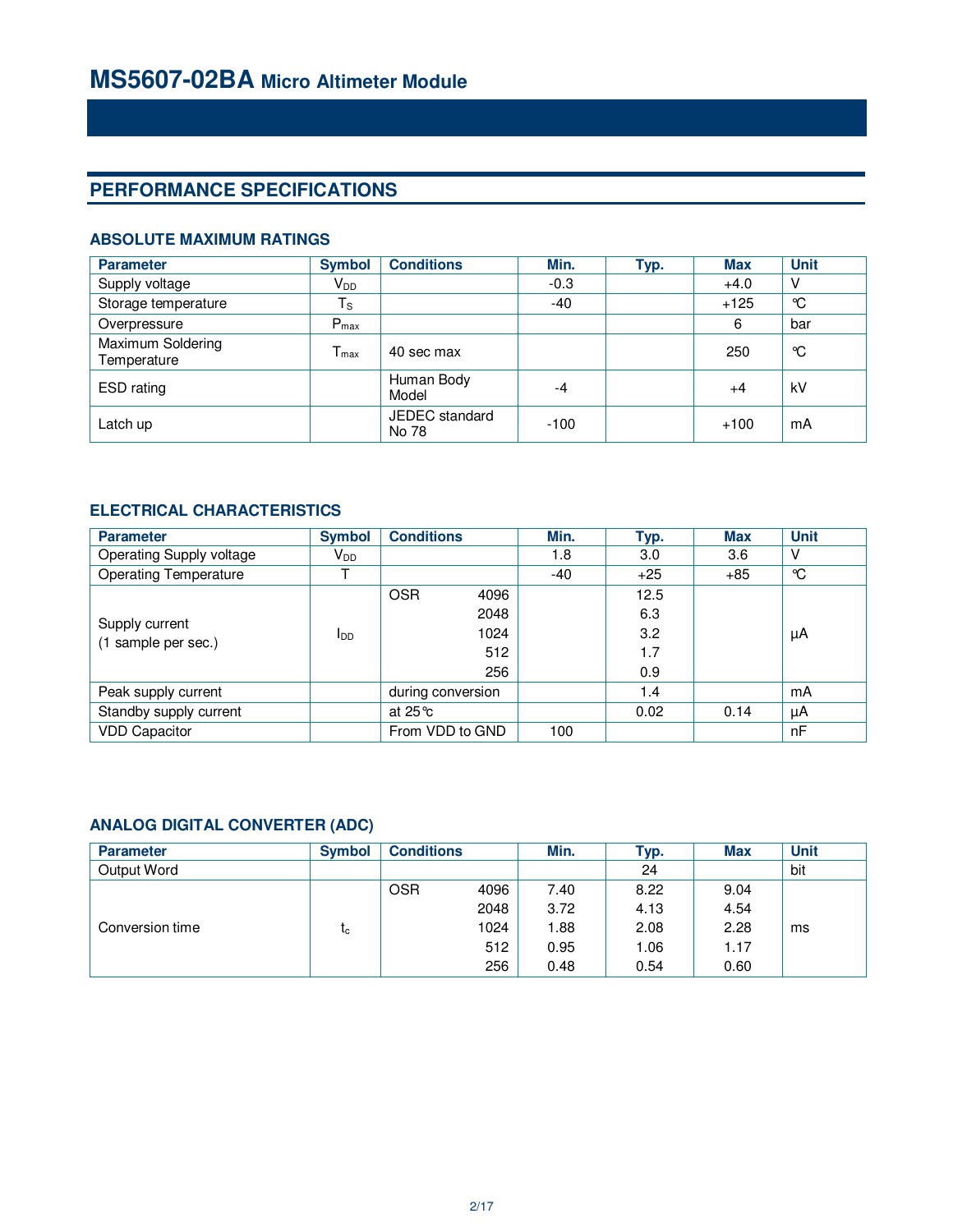# **PERFORMANCE SPECIFICATIONS**

### **ABSOLUTE MAXIMUM RATINGS**

| <b>Parameter</b>                 | <b>Symbol</b>          | <b>Conditions</b>       | Min.   | Typ. | <b>Max</b> | <b>Unit</b> |
|----------------------------------|------------------------|-------------------------|--------|------|------------|-------------|
| Supply voltage                   | <b>V</b> <sub>DD</sub> |                         | $-0.3$ |      | $+4.0$     | V           |
| Storage temperature              | $T_{\rm S}$            |                         | $-40$  |      | $+125$     | °C          |
| Overpressure                     | $P_{\text{max}}$       |                         |        |      | 6          | bar         |
| Maximum Soldering<br>Temperature | $T_{\text{max}}$       | 40 sec max              |        |      | 250        | °C          |
| ESD rating                       |                        | Human Body<br>Model     | -4     |      | $+4$       | kV          |
| Latch up                         |                        | JEDEC standard<br>No 78 | $-100$ |      | $+100$     | mA          |

### **ELECTRICAL CHARACTERISTICS**

| <b>Parameter</b>                      | <b>Symbol</b>   | <b>Conditions</b> |      | Min.  | Typ.  | <b>Max</b> | <b>Unit</b> |
|---------------------------------------|-----------------|-------------------|------|-------|-------|------------|-------------|
| Operating Supply voltage              | V <sub>DD</sub> |                   |      | 1.8   | 3.0   | 3.6        | V           |
| <b>Operating Temperature</b>          |                 |                   |      | $-40$ | $+25$ | $+85$      | °C          |
|                                       |                 | <b>OSR</b>        | 4096 |       | 12.5  |            |             |
| Supply current<br>(1 sample per sec.) | <b>I</b> DD     |                   | 2048 |       | 6.3   |            |             |
|                                       |                 |                   | 1024 |       | 3.2   |            | μA          |
|                                       |                 |                   | 512  |       | 1.7   |            |             |
|                                       |                 |                   | 256  |       | 0.9   |            |             |
| Peak supply current                   |                 | during conversion |      |       | 1.4   |            | mA          |
| Standby supply current                |                 | at $25^{\circ}$ c |      |       | 0.02  | 0.14       | μA          |
| <b>VDD Capacitor</b>                  |                 | From VDD to GND   |      | 100   |       |            | nF          |

### **ANALOG DIGITAL CONVERTER (ADC)**

| <b>Parameter</b> | <b>Symbol</b> | <b>Conditions</b> |      | Min.  | Typ. | <b>Max</b> | <b>Unit</b> |
|------------------|---------------|-------------------|------|-------|------|------------|-------------|
| Output Word      |               |                   |      |       | 24   |            | bit         |
|                  |               | <b>OSR</b>        | 4096 | 7.40  | 8.22 | 9.04       |             |
|                  |               |                   | 2048 | 3.72  | 4.13 | 4.54       |             |
| Conversion time  | ιc.           |                   | 1024 | 88. ا | 2.08 | 2.28       | ms          |
|                  |               |                   | 512  | 0.95  | 1.06 | 1.17       |             |
|                  |               |                   | 256  | 0.48  | 0.54 | 0.60       |             |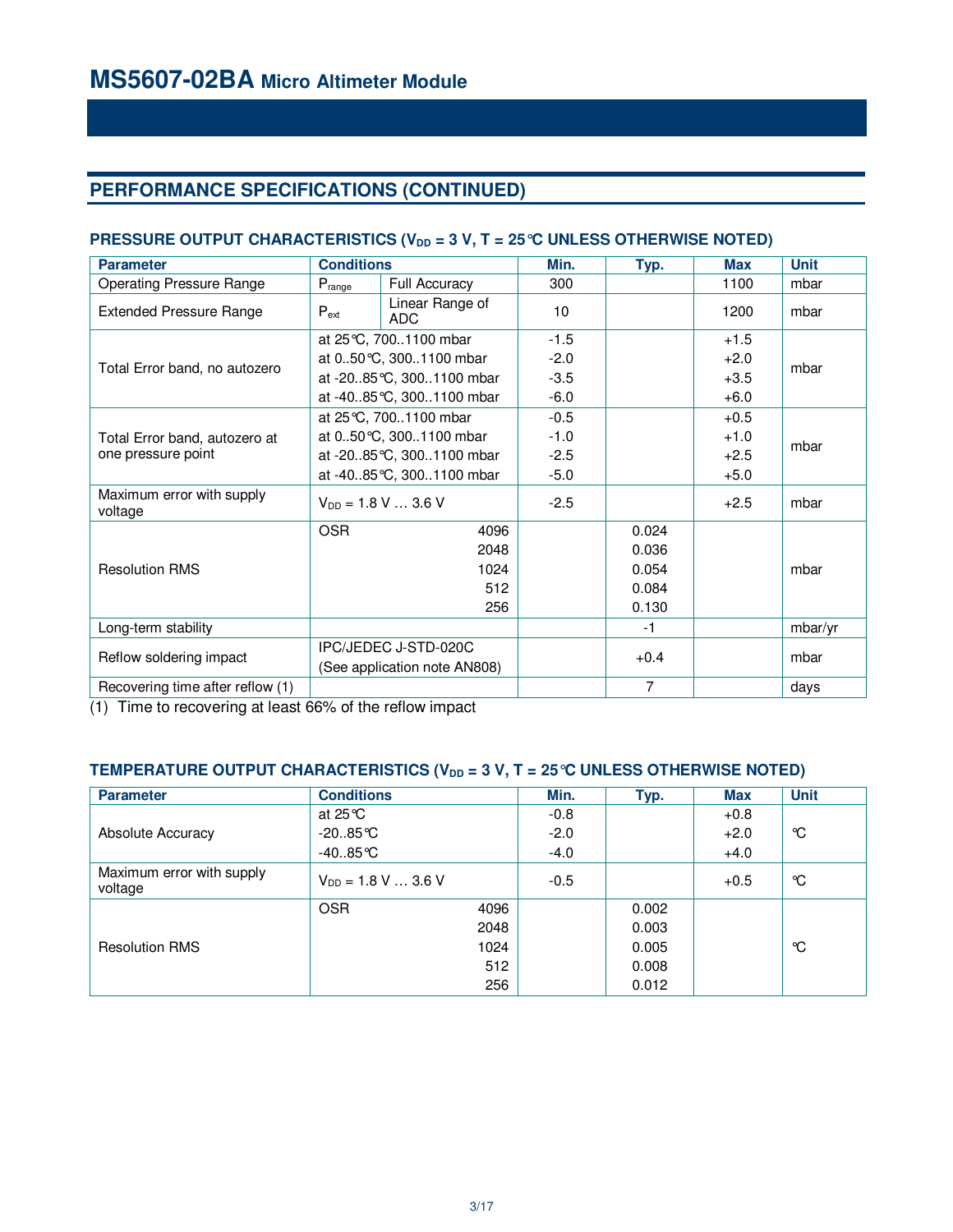# **PERFORMANCE SPECIFICATIONS (CONTINUED)**

### **PRESSURE OUTPUT CHARACTERISTICS (V<sub>DD</sub> = 3 V, T = 25 ℃ UNLESS OTHERWISE NOTED)**

| <b>Parameter</b>                     |            | <b>Conditions</b>                                    |        | Typ.           | <b>Max</b> | <b>Unit</b> |  |
|--------------------------------------|------------|------------------------------------------------------|--------|----------------|------------|-------------|--|
| <b>Operating Pressure Range</b>      | Prange     | Full Accuracy                                        | 300    |                | 1100       | mbar        |  |
| <b>Extended Pressure Range</b>       | $P_{ext}$  | Linear Range of<br>ADC                               |        |                | 1200       | mbar        |  |
|                                      |            | at 25 °C, 7001100 mbar                               | $-1.5$ |                | $+1.5$     |             |  |
| Total Error band, no autozero        |            | at 050 °C, 3001100 mbar                              |        |                | $+2.0$     | mbar        |  |
|                                      |            | at -2085 °C, 3001100 mbar                            |        |                | $+3.5$     |             |  |
|                                      |            | at -4085 °C, 3001100 mbar                            | $-6.0$ |                | $+6.0$     |             |  |
|                                      |            | at 25 °C, 7001100 mbar                               | $-0.5$ |                | $+0.5$     |             |  |
| Total Error band, autozero at        |            | at 050 °C, 3001100 mbar                              |        |                | $+1.0$     | mbar        |  |
| one pressure point                   |            | at -2085 °C, 3001100 mbar                            | $-2.5$ |                | $+2.5$     |             |  |
|                                      |            | at -4085 °C, 3001100 mbar                            |        |                | $+5.0$     |             |  |
| Maximum error with supply<br>voltage |            | $V_{DD} = 1.8 V  3.6 V$                              | $-2.5$ |                | $+2.5$     | mbar        |  |
|                                      | <b>OSR</b> | 4096                                                 |        | 0.024          |            |             |  |
|                                      |            | 2048                                                 |        | 0.036          |            |             |  |
| <b>Resolution RMS</b>                |            | 1024                                                 |        | 0.054          |            | mbar        |  |
|                                      |            | 512                                                  |        | 0.084          |            |             |  |
|                                      |            | 256                                                  |        | 0.130          |            |             |  |
| Long-term stability                  |            |                                                      |        | $-1$           |            | mbar/yr     |  |
|                                      |            | IPC/JEDEC J-STD-020C<br>(See application note AN808) |        |                |            |             |  |
| Reflow soldering impact              |            |                                                      |        | $+0.4$         |            | mbar        |  |
| Recovering time after reflow (1)     |            |                                                      |        | $\overline{7}$ |            | days        |  |

(1) Time to recovering at least 66% of the reflow impact

### **TEMPERATURE OUTPUT CHARACTERISTICS (V<sub>DD</sub> = 3 V, T = 25 ℃ UNLESS OTHERWISE NOTED)**

| <b>Parameter</b>                     | <b>Conditions</b>       |      | Min.   | Typ.  | <b>Max</b> | <b>Unit</b> |
|--------------------------------------|-------------------------|------|--------|-------|------------|-------------|
|                                      | at $25^{\circ}$ C       |      | $-0.8$ |       | $+0.8$     |             |
| Absolute Accuracy                    | $-20.85$ °C             |      | $-2.0$ |       | $+2.0$     | °C          |
|                                      | $-40.85$ °C             |      | $-4.0$ |       | $+4.0$     |             |
| Maximum error with supply<br>voltage | $V_{DD} = 1.8 V  3.6 V$ |      | $-0.5$ |       | $+0.5$     | °C          |
|                                      | <b>OSR</b>              | 4096 |        | 0.002 |            |             |
|                                      |                         | 2048 |        | 0.003 |            |             |
| <b>Resolution RMS</b>                |                         | 1024 |        | 0.005 |            | °C          |
|                                      |                         | 512  |        | 0.008 |            |             |
|                                      |                         | 256  |        | 0.012 |            |             |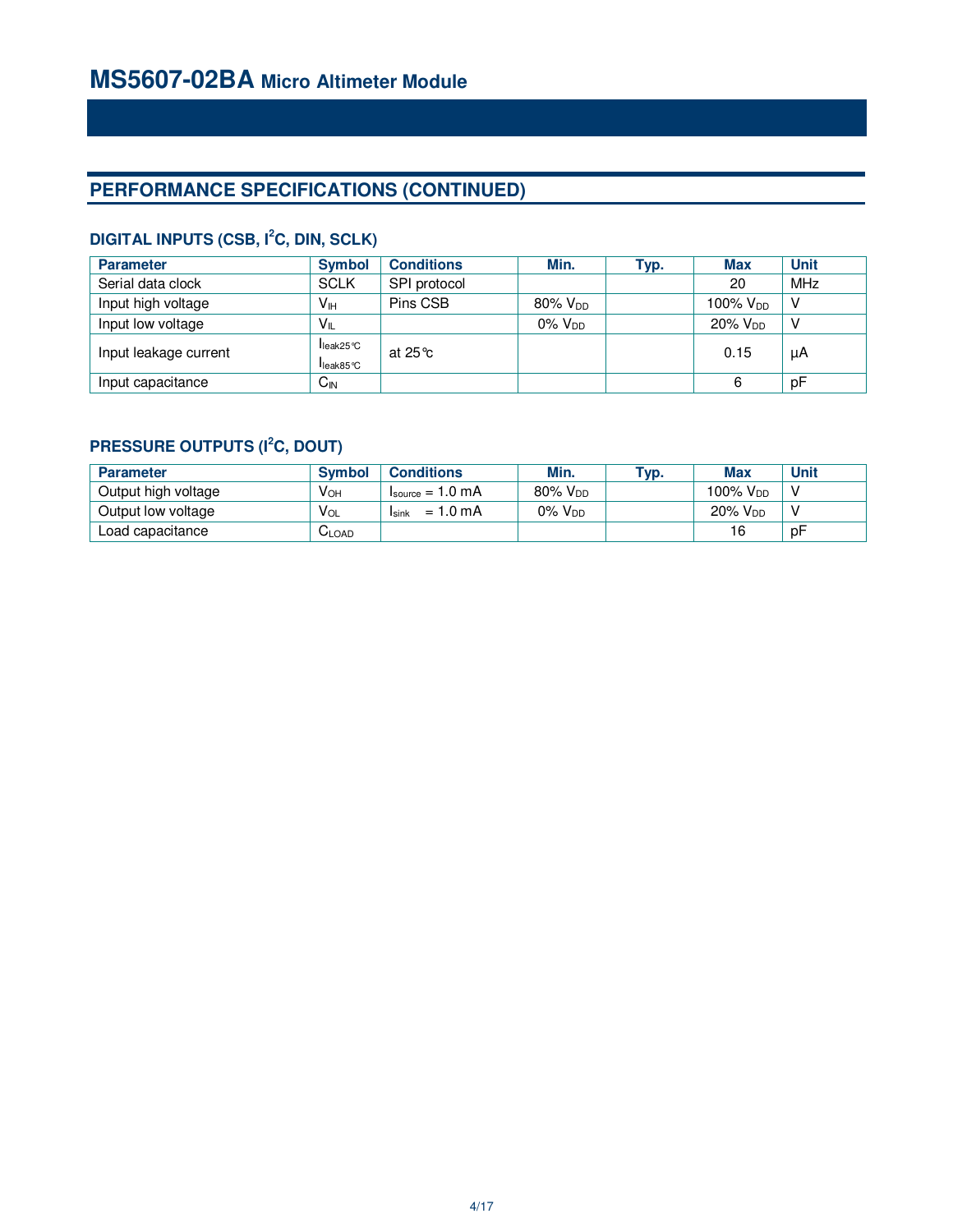# **PERFORMANCE SPECIFICATIONS (CONTINUED)**

# **DIGITAL INPUTS (CSB, I<sup>2</sup>C, DIN, SCLK)**

| <b>Parameter</b>      | <b>Symbol</b>        | <b>Conditions</b>  | Min.            | Typ. | <b>Max</b>      | <b>Unit</b> |
|-----------------------|----------------------|--------------------|-----------------|------|-----------------|-------------|
| Serial data clock     | <b>SCLK</b>          | SPI protocol       |                 |      | 20              | MHz         |
| Input high voltage    | V <sub>H</sub>       | Pins CSB           | $80\%$ $V_{DD}$ |      | 100% $V_{DD}$   | V           |
| Input low voltage     | $V_{IL}$             |                    | $0\%$ $V_{DD}$  |      | $20\%$ $V_{DD}$ | V           |
| Input leakage current | leak25°C<br>leak85°C | at 25 $^{\circ}$ c |                 |      | 0.15            | μA          |
| Input capacitance     | $C_{\text{IN}}$      |                    |                 |      | 6               | рF          |

# **PRESSURE OUTPUTS (I<sup>2</sup>C, DOUT)**

| <b>Parameter</b>    | <b>Symbol</b> | <b>Conditions</b>                    | Min.            | Tур. | <b>Max</b>           | <b>Unit</b> |
|---------------------|---------------|--------------------------------------|-----------------|------|----------------------|-------------|
| Output high voltage | $V_{OH}$      | $I_{\text{source}} = 1.0 \text{ mA}$ | $80\%$ $V_{DD}$ |      | 100% V <sub>DD</sub> |             |
| Output low voltage  | $V_{OL}$      | $= 1.0 \text{ mA}$<br>Isink          | $0\%$ $V_{DD}$  |      | $20\%$ $V_{DD}$      |             |
| Load capacitance    | ULOAD         |                                      |                 |      | 16                   | рF          |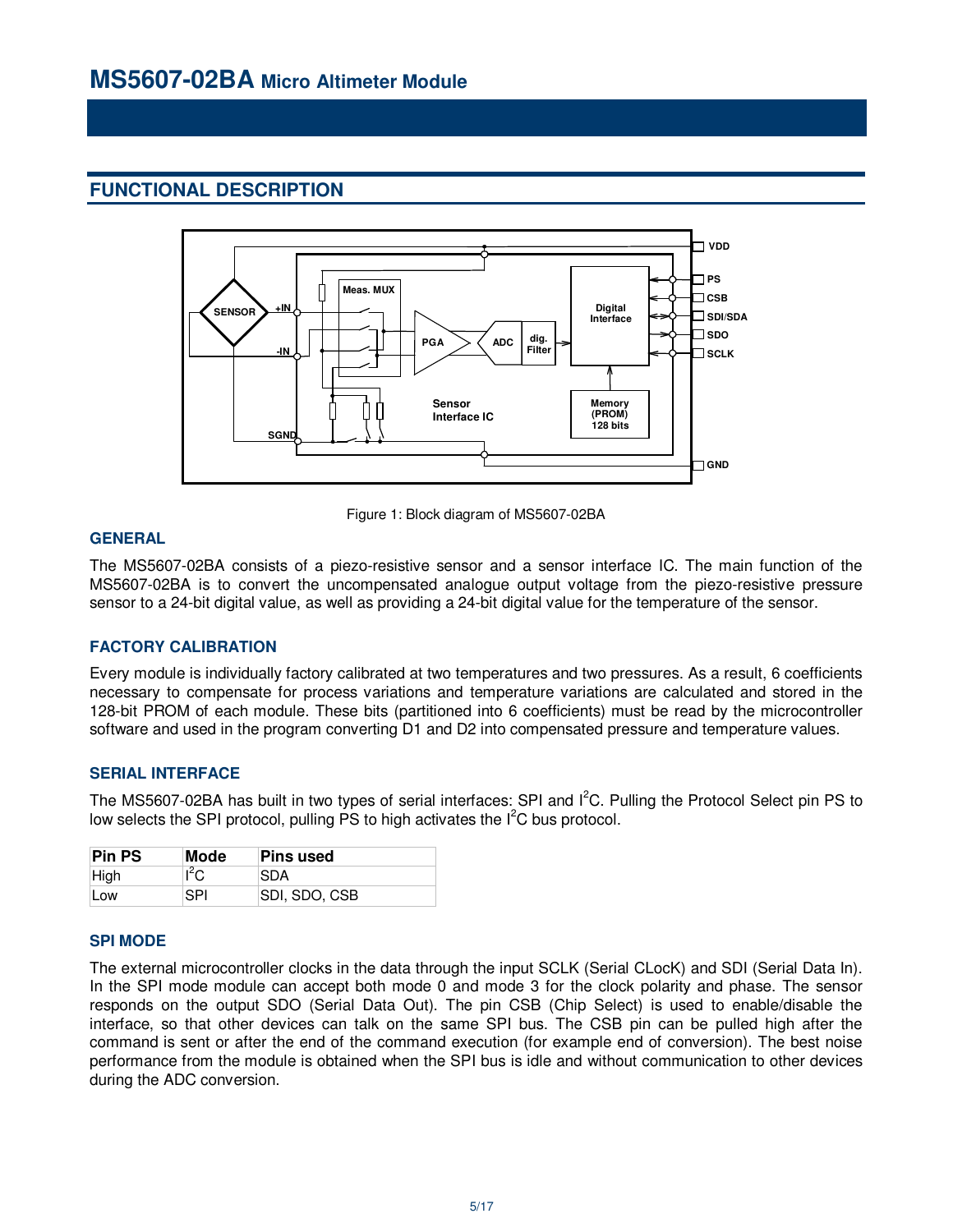# **FUNCTIONAL DESCRIPTION**



Figure 1: Block diagram of MS5607-02BA

### **GENERAL**

The MS5607-02BA consists of a piezo-resistive sensor and a sensor interface IC. The main function of the MS5607-02BA is to convert the uncompensated analogue output voltage from the piezo-resistive pressure sensor to a 24-bit digital value, as well as providing a 24-bit digital value for the temperature of the sensor.

### **FACTORY CALIBRATION**

Every module is individually factory calibrated at two temperatures and two pressures. As a result, 6 coefficients necessary to compensate for process variations and temperature variations are calculated and stored in the 128-bit PROM of each module. These bits (partitioned into 6 coefficients) must be read by the microcontroller software and used in the program converting D1 and D2 into compensated pressure and temperature values.

### **SERIAL INTERFACE**

The MS5607-02BA has built in two types of serial interfaces: SPI and I<sup>2</sup>C. Pulling the Protocol Select pin PS to low selects the SPI protocol, pulling PS to high activates the  $I^2C$  bus protocol.

| <b>Pin PS</b> | <b>Pins used</b> |               |
|---------------|------------------|---------------|
| High          | $I^2C$           | <b>SDA</b>    |
| 'Low          | SPI              | SDI, SDO, CSB |

### **SPI MODE**

The external microcontroller clocks in the data through the input SCLK (Serial CLocK) and SDI (Serial Data In). In the SPI mode module can accept both mode 0 and mode 3 for the clock polarity and phase. The sensor responds on the output SDO (Serial Data Out). The pin CSB (Chip Select) is used to enable/disable the interface, so that other devices can talk on the same SPI bus. The CSB pin can be pulled high after the command is sent or after the end of the command execution (for example end of conversion). The best noise performance from the module is obtained when the SPI bus is idle and without communication to other devices during the ADC conversion.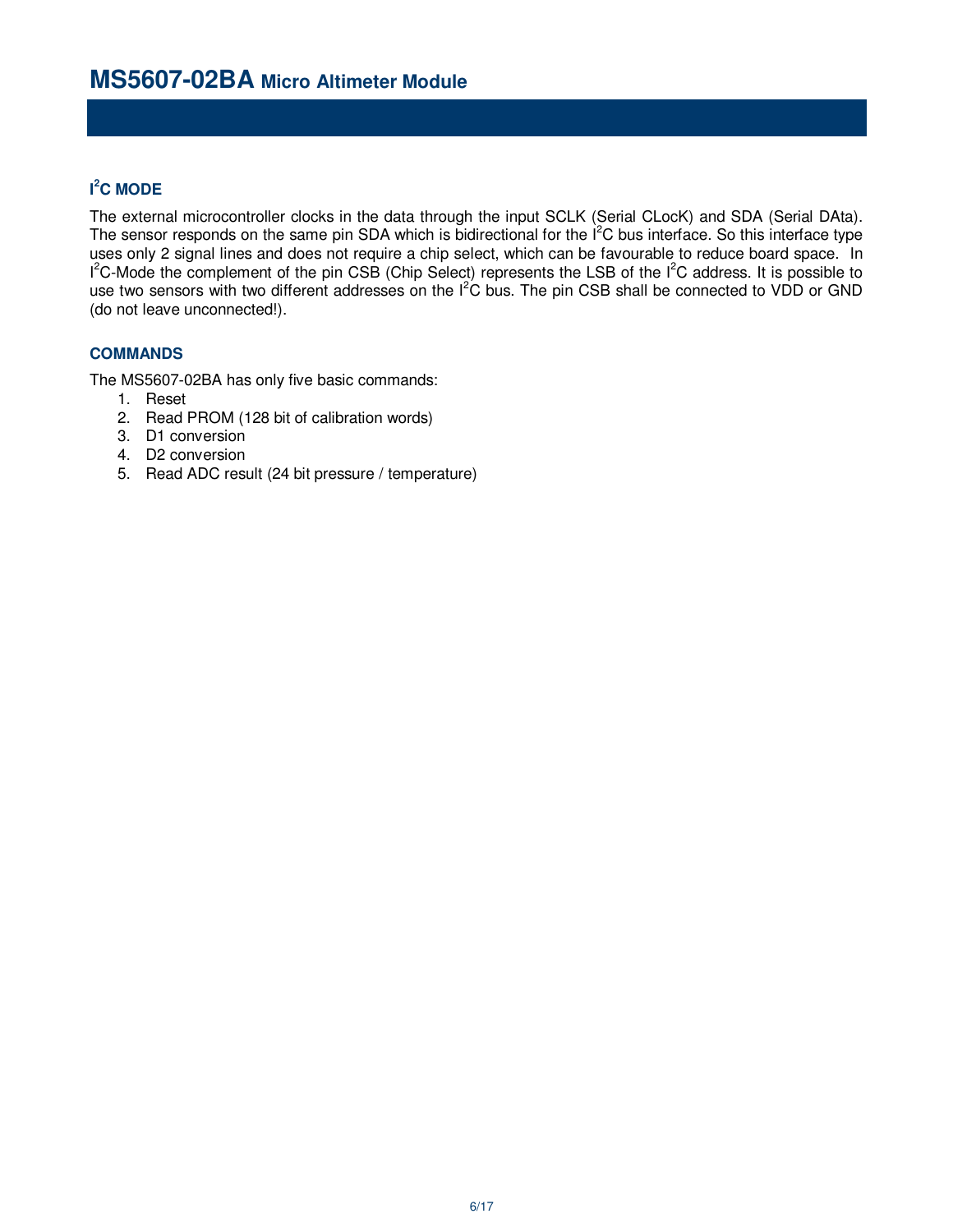# **I <sup>2</sup>C MODE**

The external microcontroller clocks in the data through the input SCLK (Serial CLocK) and SDA (Serial DAta). The sensor responds on the same pin SDA which is bidirectional for the  $I^2C$  bus interface. So this interface type uses only 2 signal lines and does not require a chip select, which can be favourable to reduce board space. In  $1^2$ C-Mode the complement of the pin CSB (Chip Select) represents the LSB of the  $1^2$ C address. It is possible to use two sensors with two different addresses on the  $I^2C$  bus. The pin CSB shall be connected to VDD or GND (do not leave unconnected!).

### **COMMANDS**

The MS5607-02BA has only five basic commands:

- 1. Reset
- 2. Read PROM (128 bit of calibration words)
- 3. D1 conversion
- 4. D2 conversion
- 5. Read ADC result (24 bit pressure / temperature)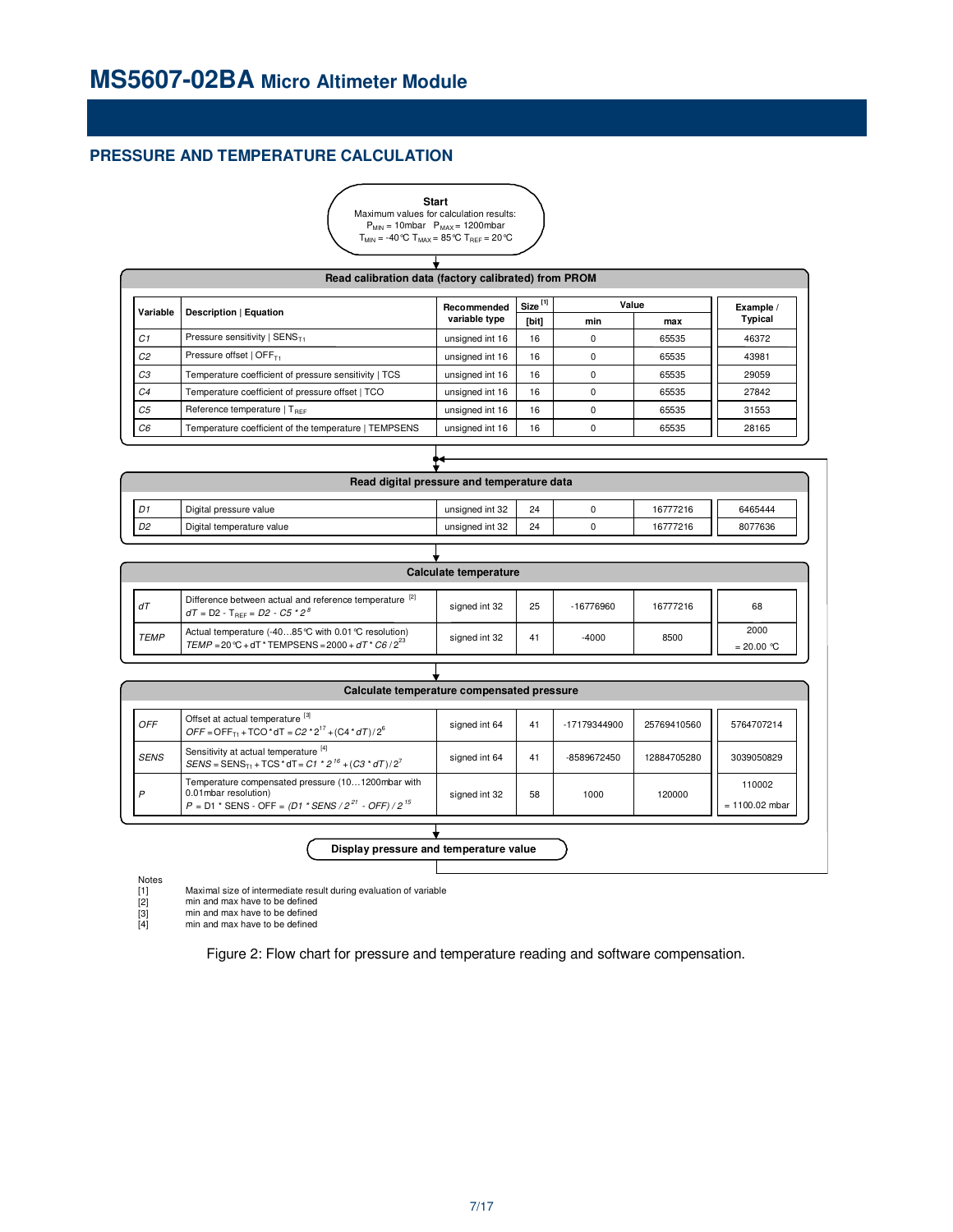### **PRESSURE AND TEMPERATURE CALCULATION**



| Read calibration data (factory calibrated) from PROM |                                                       |                 |                     |          |       |           |  |
|------------------------------------------------------|-------------------------------------------------------|-----------------|---------------------|----------|-------|-----------|--|
| Variable                                             | Description   Equation                                | Recommended     | Size <sup>[1]</sup> |          | Value | Example / |  |
|                                                      |                                                       | variable type   | [bit]               | min      | max   | Typical   |  |
| C1                                                   | Pressure sensitivity   $SENST1$                       | unsigned int 16 | 16                  | $\Omega$ | 65535 | 46372     |  |
| C <sub>2</sub>                                       | Pressure offset   $OFF_{T1}$                          | unsigned int 16 | 16                  | $\Omega$ | 65535 | 43981     |  |
| CЗ                                                   | Temperature coefficient of pressure sensitivity   TCS | unsigned int 16 | 16                  | $\Omega$ | 65535 | 29059     |  |
| C <sub>4</sub>                                       | Temperature coefficient of pressure offset   TCO      | unsigned int 16 | 16                  | $\Omega$ | 65535 | 27842     |  |
| C <sub>5</sub>                                       | Reference temperature $ T_{BFF} $                     | unsigned int 16 | 16                  | $\Omega$ | 65535 | 31553     |  |
| C <sub>6</sub>                                       | Temperature coefficient of the temperature   TEMPSENS | unsigned int 16 | 16                  | ŋ        | 65535 | 28165     |  |

| Read digital pressure and temperature data |                           |                 |    |  |          |         |  |  |
|--------------------------------------------|---------------------------|-----------------|----|--|----------|---------|--|--|
| D1                                         | Digital pressure value    | unsigned int 32 | 24 |  | 16777216 | 6465444 |  |  |
| D <sub>2</sub>                             | Digital temperature value | unsigned int 32 | 24 |  | 16777216 | 8077636 |  |  |
|                                            |                           |                 |    |  |          |         |  |  |

₩

|             | Calculate temperature                                                                                           |               |    |             |          |                      |  |  |
|-------------|-----------------------------------------------------------------------------------------------------------------|---------------|----|-------------|----------|----------------------|--|--|
| dT          | Difference between actual and reference temperature [2]<br>$df = D2 - T_{BFF} = D2 - C5 * 2^8$                  | signed int 32 | 25 | $-16776960$ | 16777216 | 68                   |  |  |
| <b>TEMP</b> | Actual temperature (-4085 ℃ with 0.01 ℃ resolution)<br>TEMP = 20 °C + dT * TEMPSENS = 2000 + dT * C6 / $2^{23}$ | signed int 32 | 41 | $-4000$     | 8500     | 2000<br>$= 20.00 °C$ |  |  |

| <b>OFF</b>  | Offset at actual temperature [3]<br>$OFF = OFF_{T1} + TCO * dT = C2 * 2^{17} + (C4 * dT)/2^6$                                                                 | signed int 64 | 41 | -17179344900 | 25769410560 | 5764707214                 |
|-------------|---------------------------------------------------------------------------------------------------------------------------------------------------------------|---------------|----|--------------|-------------|----------------------------|
| <b>SENS</b> | Sensitivity at actual temperature [4]<br>$SENS = SENS_{T1} + TCS * dT = C1 * 2^{16} + (C3 * dT)/2^{7}$                                                        | signed int 64 | 41 | -8589672450  | 12884705280 | 3039050829                 |
| D           | Temperature compensated pressure (101200mbar with<br>0.01 mbar resolution)<br>$P = D1$ * SENS - OFF = $(D1$ * SENS / 2 <sup>21</sup> - OFF) / 2 <sup>15</sup> | signed int 32 | 58 | 1000         | 120000      | 110002<br>$= 1100.02$ mbar |

**Display pressure and temperature value**

Maximal size of intermediate result during evaluation of variable

min and max have to be defined

Notes<br>[1]<br>[2]<br>[3] min and max have to be defined min and max have to be defined

Figure 2: Flow chart for pressure and temperature reading and software compensation.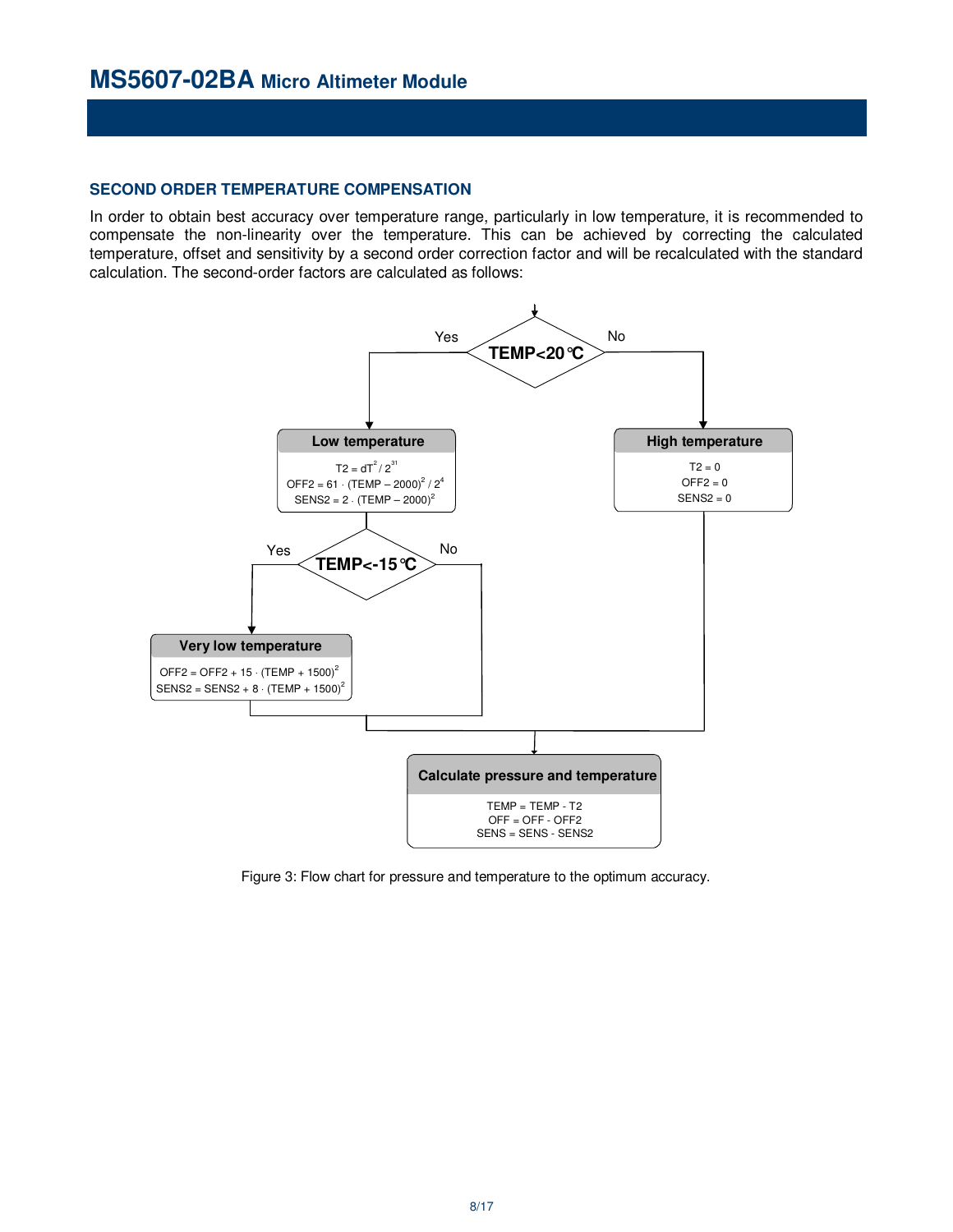### **SECOND ORDER TEMPERATURE COMPENSATION**

In order to obtain best accuracy over temperature range, particularly in low temperature, it is recommended to compensate the non-linearity over the temperature. This can be achieved by correcting the calculated temperature, offset and sensitivity by a second order correction factor and will be recalculated with the standard calculation. The second-order factors are calculated as follows:



Figure 3: Flow chart for pressure and temperature to the optimum accuracy.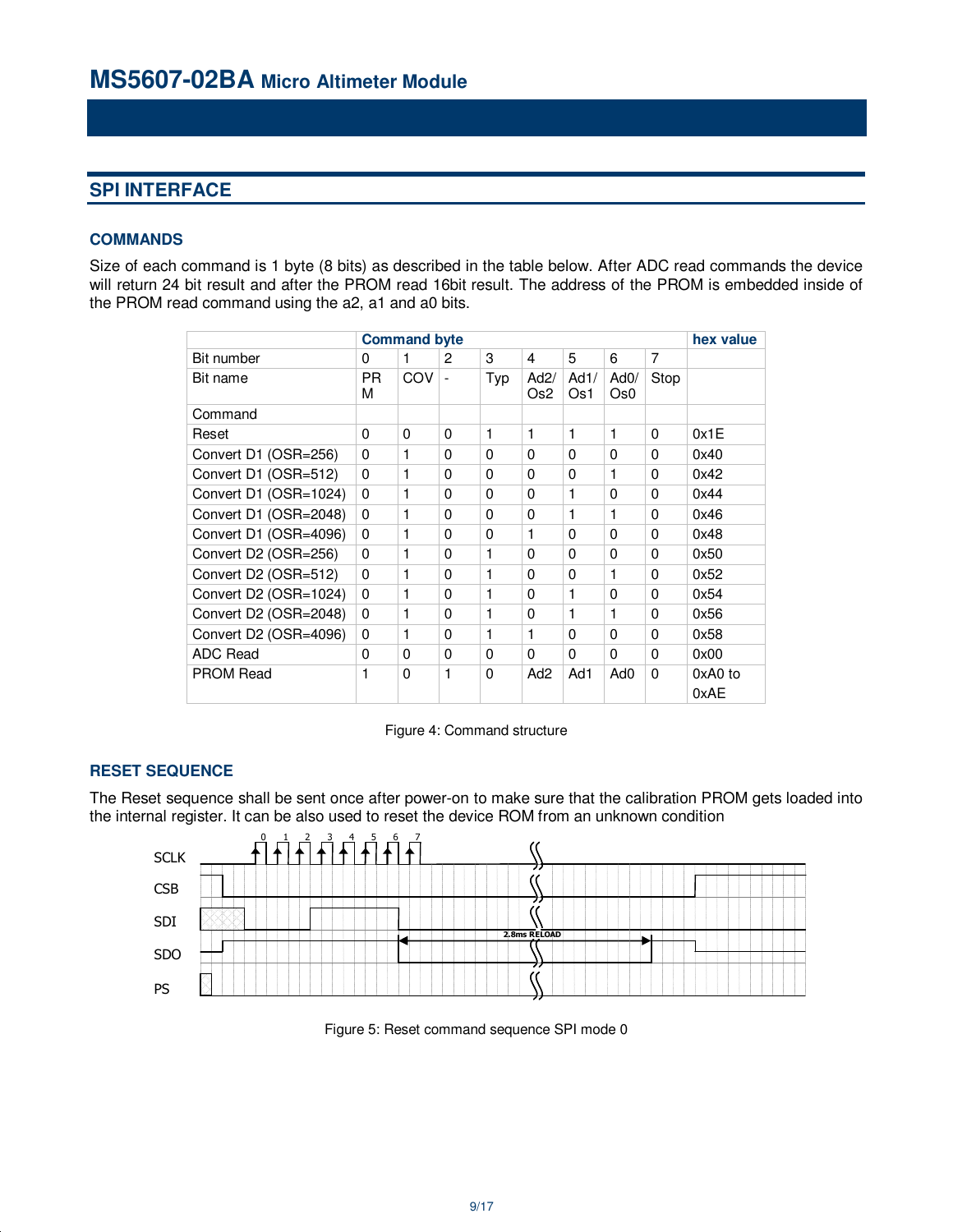## **SPI INTERFACE**

### **COMMANDS**

Size of each command is 1 byte (8 bits) as described in the table below. After ADC read commands the device will return 24 bit result and after the PROM read 16bit result. The address of the PROM is embedded inside of the PROM read command using the a2, a1 and a0 bits.

|                       |          | <b>Command byte</b> |                          |              |                 |             |                         |          | hex value         |
|-----------------------|----------|---------------------|--------------------------|--------------|-----------------|-------------|-------------------------|----------|-------------------|
| Bit number            | 0        | 1                   | 2                        | 3            | 4               | 5           | 6                       | 7        |                   |
| Bit name              | PR.<br>М | COV                 | $\overline{\phantom{a}}$ | Typ          | Ad2/<br>Os2     | Ad1/<br>Os1 | AdO/<br>Os <sub>0</sub> | Stop     |                   |
| Command               |          |                     |                          |              |                 |             |                         |          |                   |
| Reset                 | $\Omega$ | 0                   | $\Omega$                 | 1            | 1               | 1           | 1                       | $\Omega$ | 0x1E              |
| Convert D1 (OSR=256)  | $\Omega$ | 1                   | 0                        | $\Omega$     | $\Omega$        | $\Omega$    | $\Omega$                | $\Omega$ | 0x40              |
| Convert D1 (OSR=512)  | $\Omega$ | 1                   | 0                        | $\Omega$     | $\Omega$        | $\Omega$    | 1                       | $\Omega$ | 0x42              |
| Convert D1 (OSR=1024) | $\Omega$ | 1                   | 0                        | $\Omega$     | $\Omega$        | 1           | $\Omega$                | $\Omega$ | 0x44              |
| Convert D1 (OSR=2048) | $\Omega$ | 1                   | 0                        | $\Omega$     | 0               | 1           | 1                       | $\Omega$ | 0x46              |
| Convert D1 (OSR=4096) | $\Omega$ | 1                   | $\Omega$                 | $\Omega$     | 1               | $\Omega$    | 0                       | $\Omega$ | 0x48              |
| Convert D2 (OSR=256)  | $\Omega$ | 1                   | $\Omega$                 | $\mathbf{1}$ | $\Omega$        | $\Omega$    | 0                       | $\Omega$ | 0x50              |
| Convert D2 (OSR=512)  | $\Omega$ | 1                   | $\Omega$                 | $\mathbf{1}$ | 0               | $\Omega$    | 1                       | 0        | 0x52              |
| Convert D2 (OSR=1024) | $\Omega$ | 1                   | $\Omega$                 | $\mathbf{1}$ | 0               | 1           | 0                       | 0        | 0x54              |
| Convert D2 (OSR=2048) | 0        | 1                   | $\Omega$                 | $\mathbf{1}$ | 0               | 1           | 1                       | 0        | 0x56              |
| Convert D2 (OSR=4096) | $\Omega$ | 1                   | $\Omega$                 | 1            | 1               | 0           | 0                       | 0        | 0x58              |
| ADC Read              | 0        | 0                   | $\Omega$                 | 0            | 0               | 0           | 0                       | 0        | 0x00              |
| <b>PROM Read</b>      | 1        | 0                   | 1                        | $\Omega$     | Ad <sub>2</sub> | Ad1         | Ad0                     | 0        | $0xA0$ to<br>0xAE |

Figure 4: Command structure

### **RESET SEQUENCE**

The Reset sequence shall be sent once after power-on to make sure that the calibration PROM gets loaded into the internal register. It can be also used to reset the device ROM from an unknown condition



Figure 5: Reset command sequence SPI mode 0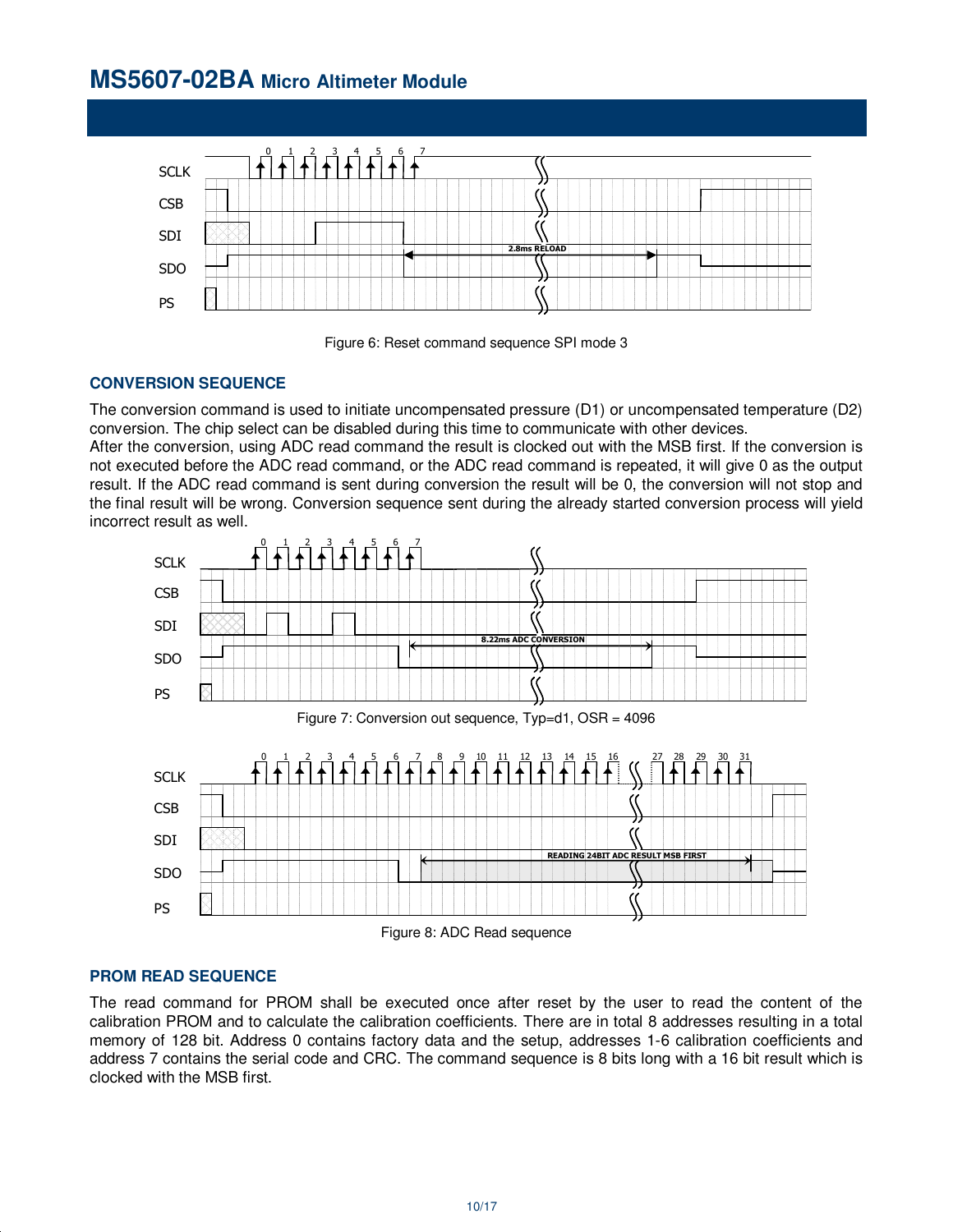# **MS5607-02BA Micro Altimeter Module**





### **CONVERSION SEQUENCE**

The conversion command is used to initiate uncompensated pressure (D1) or uncompensated temperature (D2) conversion. The chip select can be disabled during this time to communicate with other devices.

After the conversion, using ADC read command the result is clocked out with the MSB first. If the conversion is not executed before the ADC read command, or the ADC read command is repeated, it will give 0 as the output result. If the ADC read command is sent during conversion the result will be 0, the conversion will not stop and the final result will be wrong. Conversion sequence sent during the already started conversion process will yield incorrect result as well.



### **PROM READ SEQUENCE**

The read command for PROM shall be executed once after reset by the user to read the content of the calibration PROM and to calculate the calibration coefficients. There are in total 8 addresses resulting in a total memory of 128 bit. Address 0 contains factory data and the setup, addresses 1-6 calibration coefficients and address 7 contains the serial code and CRC. The command sequence is 8 bits long with a 16 bit result which is clocked with the MSB first.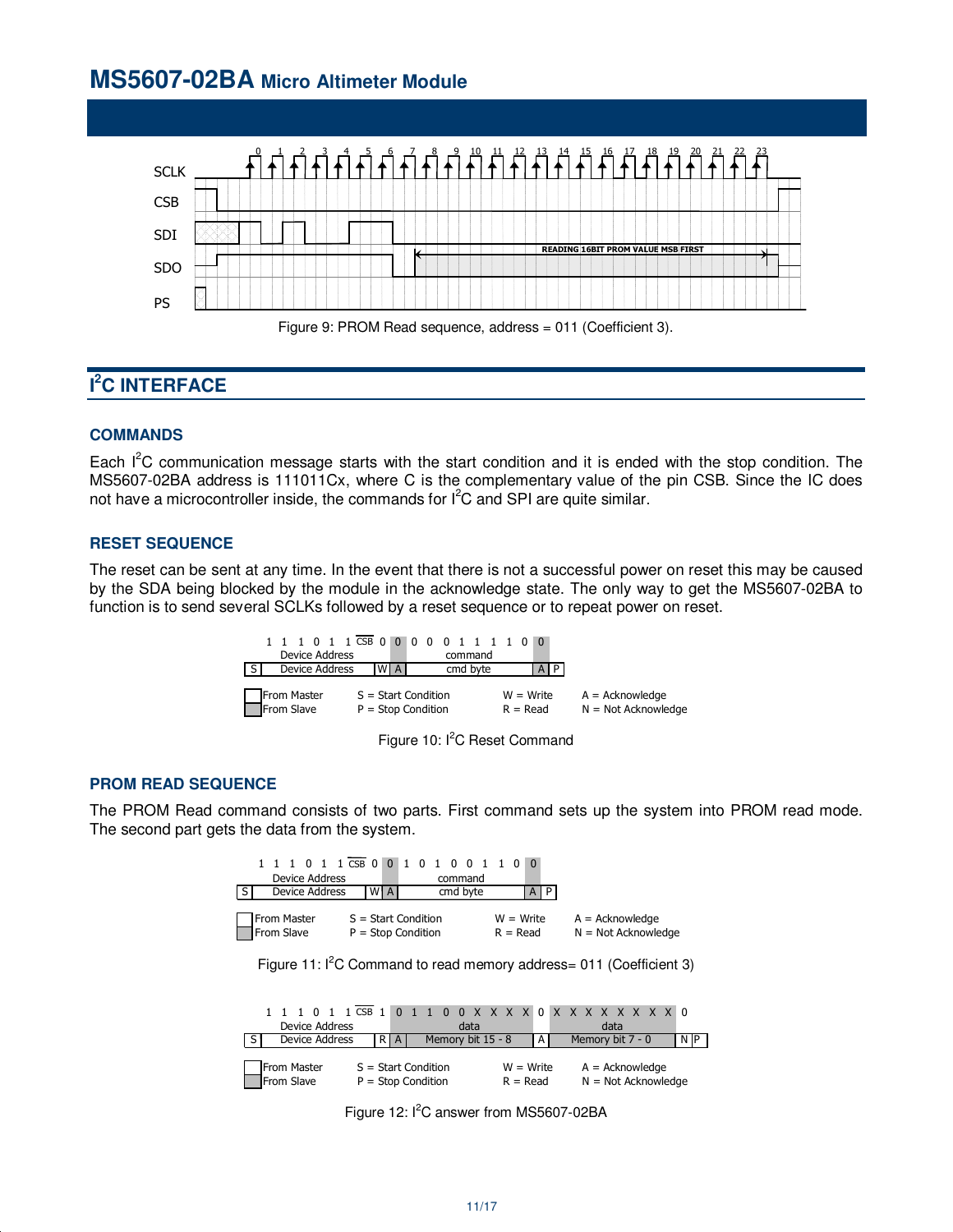# **MS5607-02BA Micro Altimeter Module**



# **I <sup>2</sup>C INTERFACE**

### **COMMANDS**

Each  $I^2C$  communication message starts with the start condition and it is ended with the stop condition. The MS5607-02BA address is 111011Cx, where C is the complementary value of the pin CSB. Since the IC does not have a microcontroller inside, the commands for  $I^2C$  and SPI are quite similar.

### **RESET SEQUENCE**

The reset can be sent at any time. In the event that there is not a successful power on reset this may be caused by the SDA being blocked by the module in the acknowledge state. The only way to get the MS5607-02BA to function is to send several SCLKs followed by a reset sequence or to repeat power on reset.

| <b>Device Address</b>     |                                               | 1 1 1 0 1 1 CSB 0 0 0 0 0 0 1 1 1 1 0 0<br>command |                           |                                            |
|---------------------------|-----------------------------------------------|----------------------------------------------------|---------------------------|--------------------------------------------|
| Device Address            | WI A                                          | cmd byte                                           |                           |                                            |
| From Master<br>From Slave | $S = Start Condition$<br>$P = Stop Condition$ |                                                    | $W = Write$<br>$R = Read$ | $A = Acknowledge$<br>$N = Not Acknowledge$ |



#### **PROM READ SEQUENCE**

The PROM Read command consists of two parts. First command sets up the system into PROM read mode. The second part gets the data from the system.

|              |  | Device Address            |  | 1 1 1 0 1 1 $\overline{CSB}$ 0 0 1 0 1 0 0 1 1 0 0 |    |  |  | command  |  |                           |    |  |                                            |  |
|--------------|--|---------------------------|--|----------------------------------------------------|----|--|--|----------|--|---------------------------|----|--|--------------------------------------------|--|
| <sub>S</sub> |  | Device Address            |  |                                                    | WA |  |  | cmd byte |  |                           | AP |  |                                            |  |
|              |  | From Master<br>From Slave |  | $S = Start Condition$<br>$P = Stop Condition$      |    |  |  |          |  | $W = Write$<br>$R = Read$ |    |  | $A = Acknowledge$<br>$N = Not Acknowledge$ |  |



| <b>Device Address</b>                                                                                   |  |  |      |  |                   |                                            | data |  |       |  | data             |  |  |      |
|---------------------------------------------------------------------------------------------------------|--|--|------|--|-------------------|--------------------------------------------|------|--|-------|--|------------------|--|--|------|
| Device Address                                                                                          |  |  | R[A] |  | Memory bit 15 - 8 |                                            |      |  | I A I |  | Memory bit 7 - 0 |  |  | N IP |
| From Master<br>From Slave<br>$S = Start Condition$<br>$W = Write$<br>$P = Stop Condition$<br>$R = Read$ |  |  |      |  |                   | $A = Acknowledge$<br>$N = Not Acknowledge$ |      |  |       |  |                  |  |  |      |

Figure 12: I<sup>2</sup>C answer from MS5607-02BA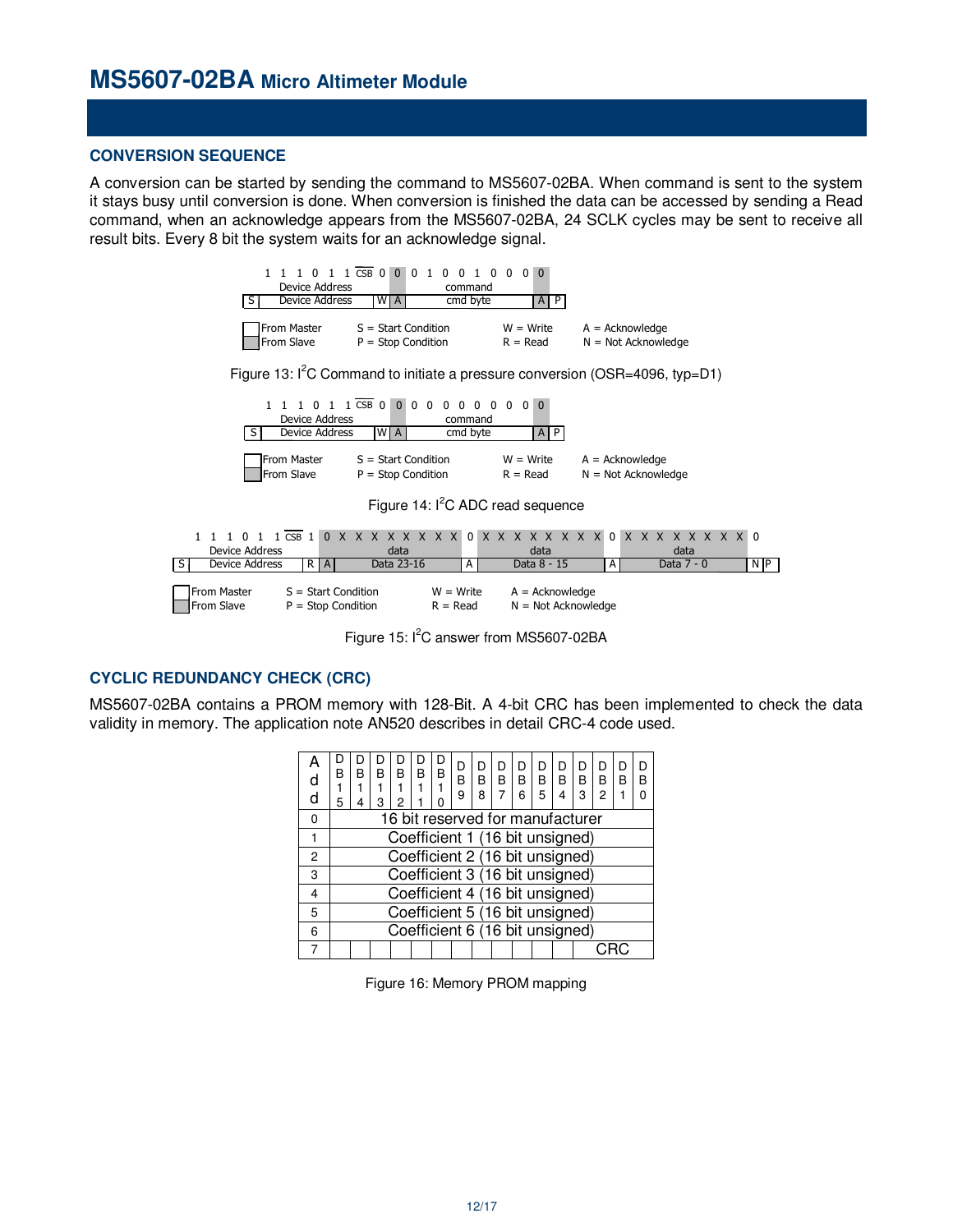### **CONVERSION SEQUENCE**

A conversion can be started by sending the command to MS5607-02BA. When command is sent to the system it stays busy until conversion is done. When conversion is finished the data can be accessed by sending a Read command, when an acknowledge appears from the MS5607-02BA, 24 SCLK cycles may be sent to receive all result bits. Every 8 bit the system waits for an acknowledge signal.



Figure 15:  $I^2C$  answer from MS5607-02BA

### **CYCLIC REDUNDANCY CHECK (CRC)**

MS5607-02BA contains a PROM memory with 128-Bit. A 4-bit CRC has been implemented to check the data validity in memory. The application note AN520 describes in detail CRC-4 code used.

| d<br>d | B<br>5 | R                                | В<br>3 | B<br>2 | B | В<br>n                          | D<br>B<br>9 | D<br>R<br>8 | В | B<br>հ | D<br>R<br>5 | D<br>B<br>4 | D<br>B<br>3 | D<br>B<br>$\overline{c}$ | D<br>R | D<br>R<br>n |
|--------|--------|----------------------------------|--------|--------|---|---------------------------------|-------------|-------------|---|--------|-------------|-------------|-------------|--------------------------|--------|-------------|
| 0      |        | 16 bit reserved for manufacturer |        |        |   |                                 |             |             |   |        |             |             |             |                          |        |             |
|        |        | Coefficient 1 (16 bit unsigned)  |        |        |   |                                 |             |             |   |        |             |             |             |                          |        |             |
| 2      |        | Coefficient 2 (16 bit unsigned)  |        |        |   |                                 |             |             |   |        |             |             |             |                          |        |             |
| 3      |        | Coefficient 3 (16 bit unsigned)  |        |        |   |                                 |             |             |   |        |             |             |             |                          |        |             |
| 4      |        |                                  |        |        |   | Coefficient 4 (16 bit unsigned) |             |             |   |        |             |             |             |                          |        |             |
| 5      |        |                                  |        |        |   | Coefficient 5 (16 bit unsigned) |             |             |   |        |             |             |             |                          |        |             |
| 6      |        |                                  |        |        |   | Coefficient 6 (16 bit unsigned) |             |             |   |        |             |             |             |                          |        |             |
|        |        |                                  |        |        |   |                                 |             |             |   |        |             |             |             |                          |        |             |

Figure 16: Memory PROM mapping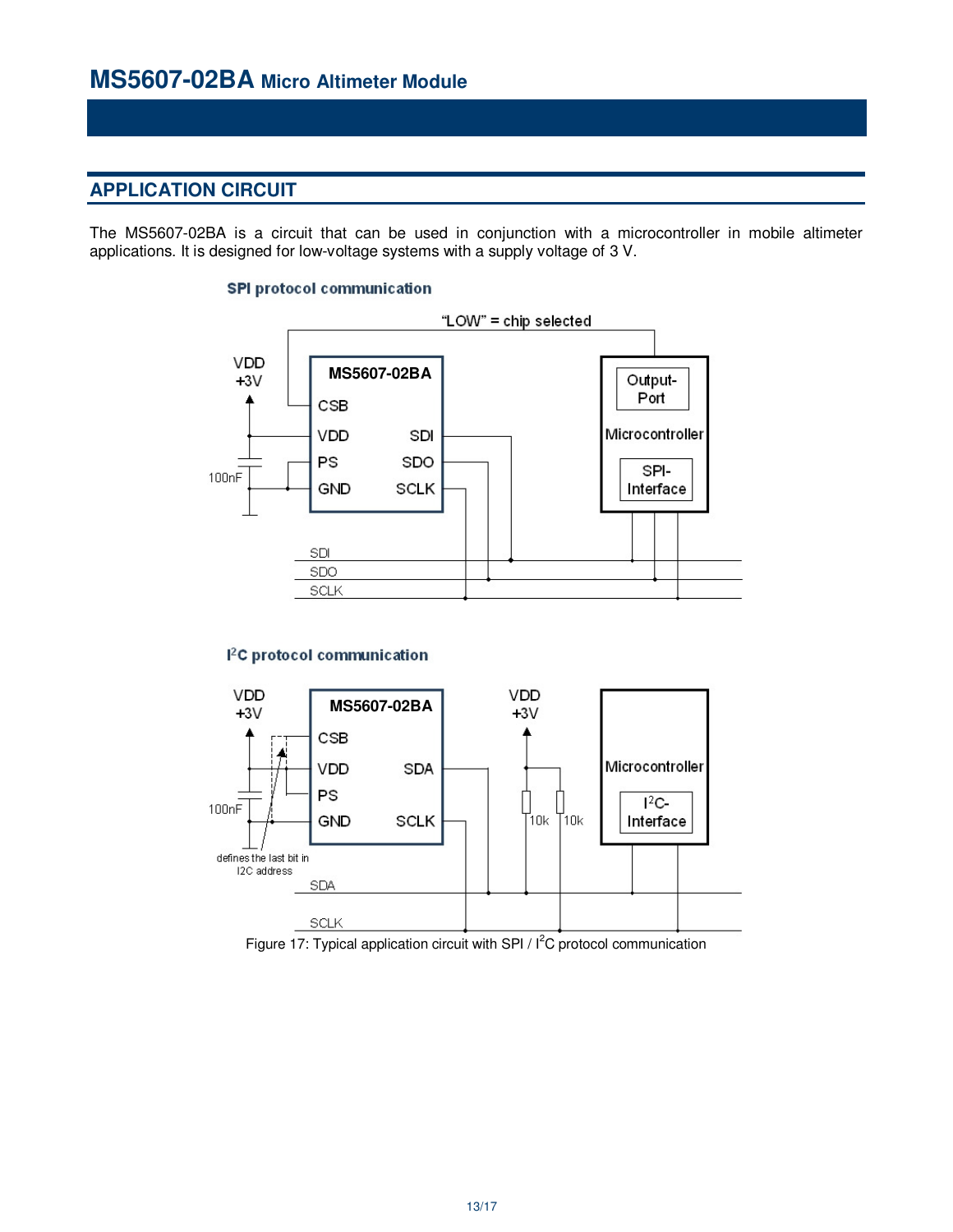## **APPLICATION CIRCUIT**

The MS5607-02BA is a circuit that can be used in conjunction with a microcontroller in mobile altimeter applications. It is designed for low-voltage systems with a supply voltage of 3 V.

### **SPI protocol communication**



### <sup>2</sup>C protocol communication



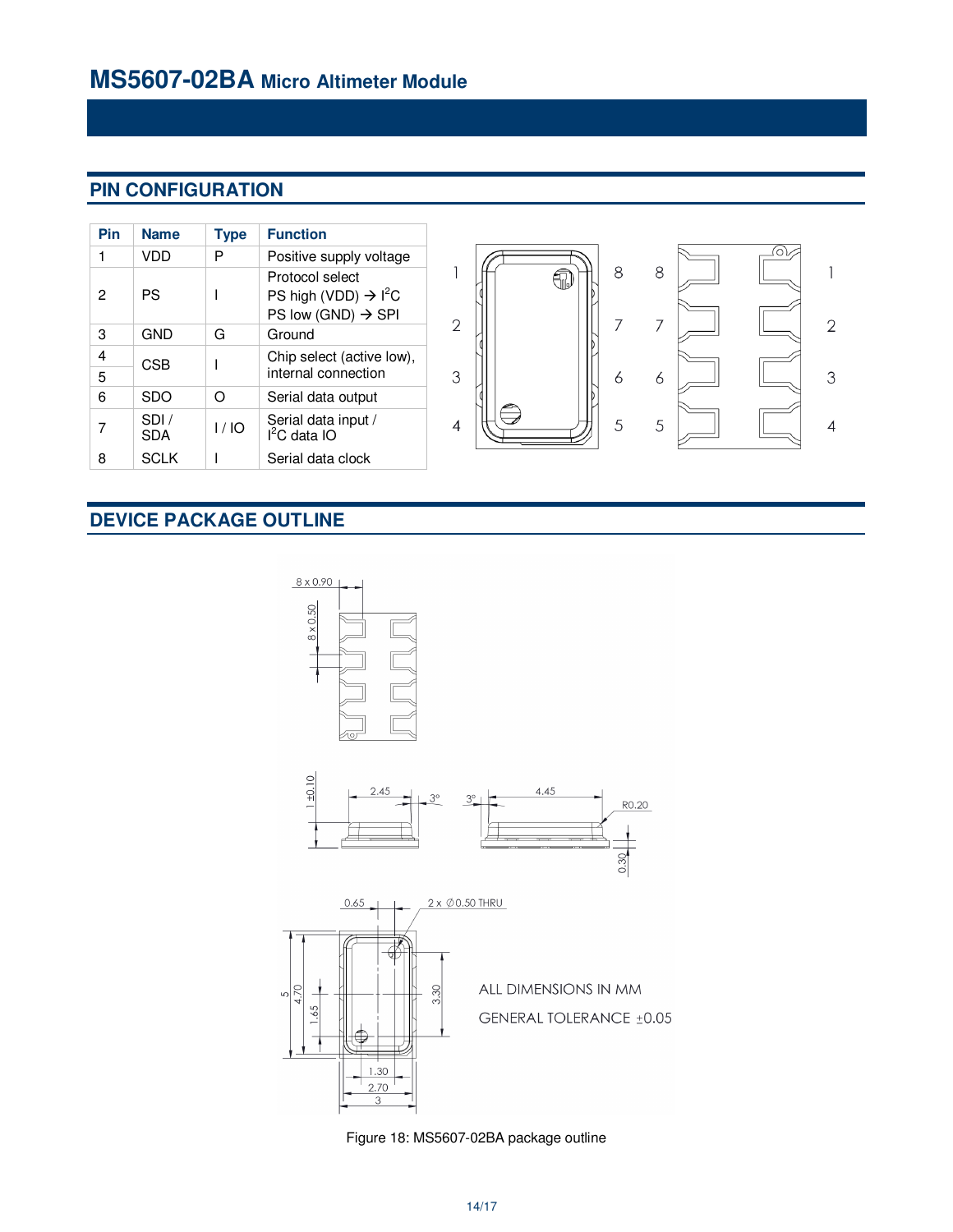# **PIN CONFIGURATION**

| Pin    | <b>Name</b>                                                            | <b>Type</b> | <b>Function</b>                                                                                   |  |  |  |  |  |  |  |
|--------|------------------------------------------------------------------------|-------------|---------------------------------------------------------------------------------------------------|--|--|--|--|--|--|--|
| 1      | VDD                                                                    | P           | Positive supply voltage                                                                           |  |  |  |  |  |  |  |
| 2      | PS                                                                     |             | Protocol select<br>PS high (VDD) $\rightarrow$ l <sup>2</sup> C<br>PS low (GND) $\rightarrow$ SPI |  |  |  |  |  |  |  |
| 3      | GND                                                                    | Ground<br>G |                                                                                                   |  |  |  |  |  |  |  |
| 4<br>5 | <b>CSB</b>                                                             |             | Chip select (active low),<br>internal connection                                                  |  |  |  |  |  |  |  |
| 6      | <b>SDO</b>                                                             | ∩           | Serial data output                                                                                |  |  |  |  |  |  |  |
| 7      | SDI/<br>Serial data input /<br>1/10<br>l <sup>2</sup> C data IO<br>SDA |             |                                                                                                   |  |  |  |  |  |  |  |
| 8      | <b>SCLK</b>                                                            |             | Serial data clock                                                                                 |  |  |  |  |  |  |  |



# **DEVICE PACKAGE OUTLINE**



Figure 18: MS5607-02BA package outline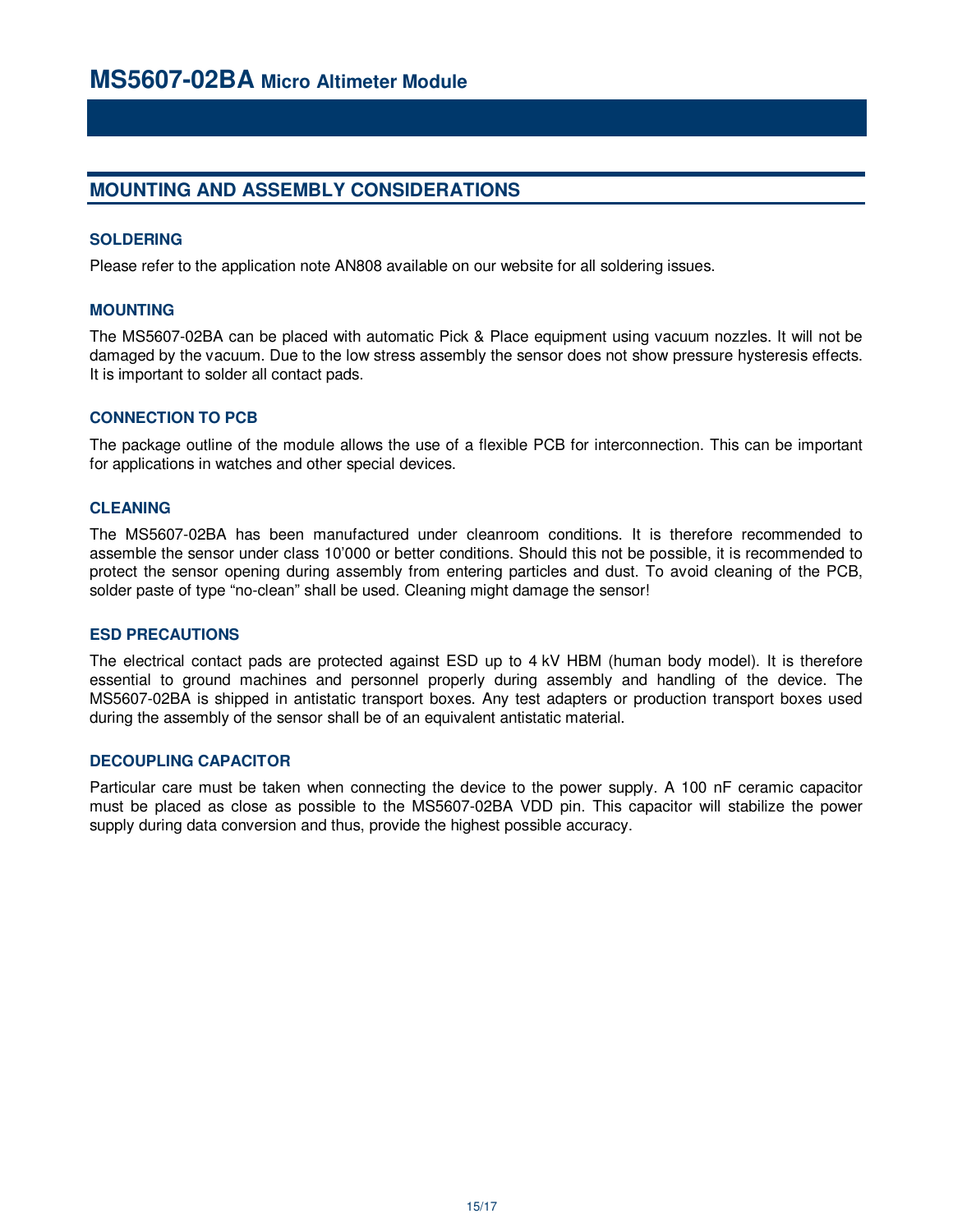## **MOUNTING AND ASSEMBLY CONSIDERATIONS**

### **SOLDERING**

Please refer to the application note AN808 available on our website for all soldering issues.

### **MOUNTING**

The MS5607-02BA can be placed with automatic Pick & Place equipment using vacuum nozzles. It will not be damaged by the vacuum. Due to the low stress assembly the sensor does not show pressure hysteresis effects. It is important to solder all contact pads.

### **CONNECTION TO PCB**

The package outline of the module allows the use of a flexible PCB for interconnection. This can be important for applications in watches and other special devices.

### **CLEANING**

The MS5607-02BA has been manufactured under cleanroom conditions. It is therefore recommended to assemble the sensor under class 10'000 or better conditions. Should this not be possible, it is recommended to protect the sensor opening during assembly from entering particles and dust. To avoid cleaning of the PCB, solder paste of type "no-clean" shall be used. Cleaning might damage the sensor!

### **ESD PRECAUTIONS**

The electrical contact pads are protected against ESD up to 4 kV HBM (human body model). It is therefore essential to ground machines and personnel properly during assembly and handling of the device. The MS5607-02BA is shipped in antistatic transport boxes. Any test adapters or production transport boxes used during the assembly of the sensor shall be of an equivalent antistatic material.

### **DECOUPLING CAPACITOR**

Particular care must be taken when connecting the device to the power supply. A 100 nF ceramic capacitor must be placed as close as possible to the MS5607-02BA VDD pin. This capacitor will stabilize the power supply during data conversion and thus, provide the highest possible accuracy.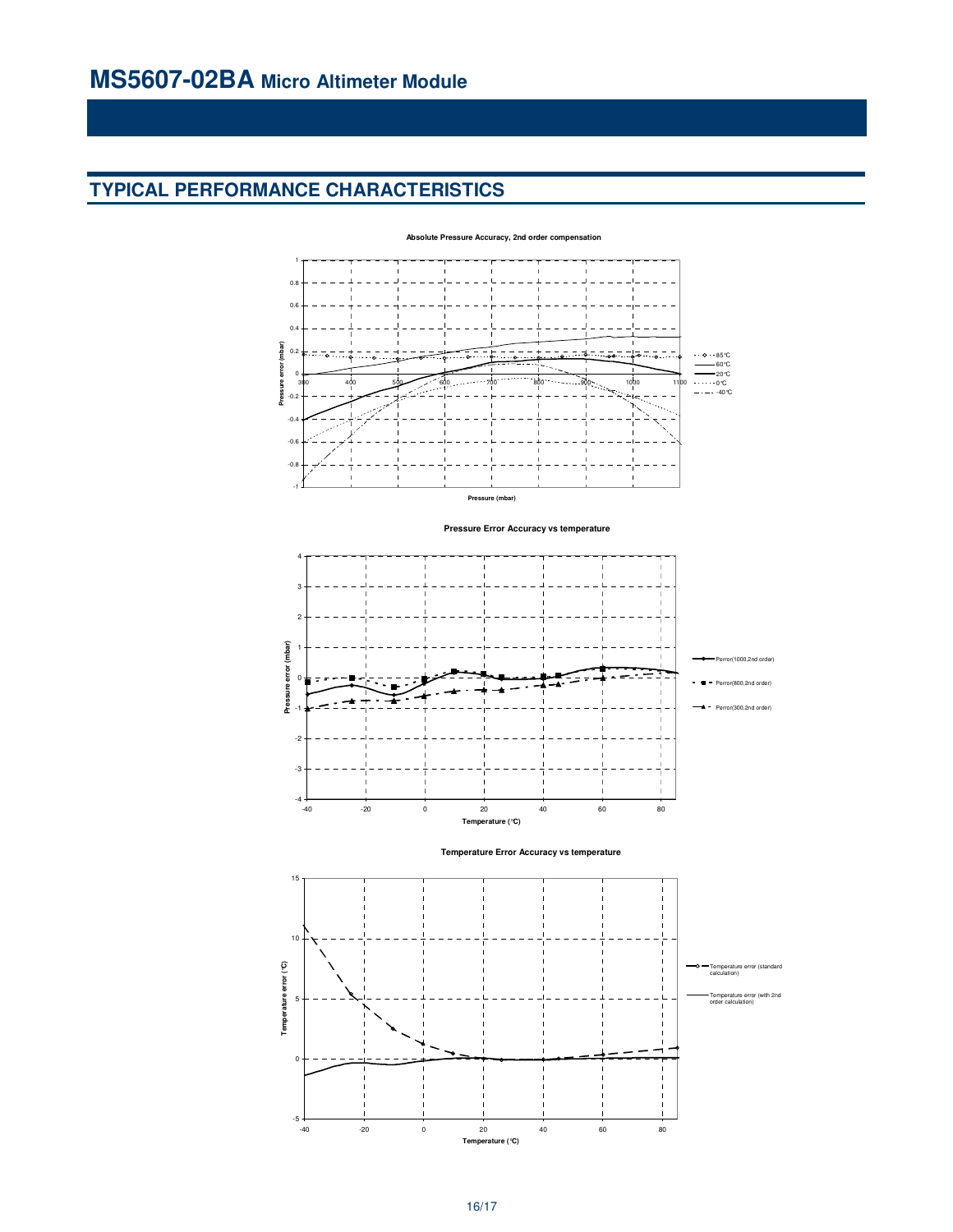# **TYPICAL PERFORMANCE CHARACTERISTICS**



**Pressure Error Accuracy vs temperature**